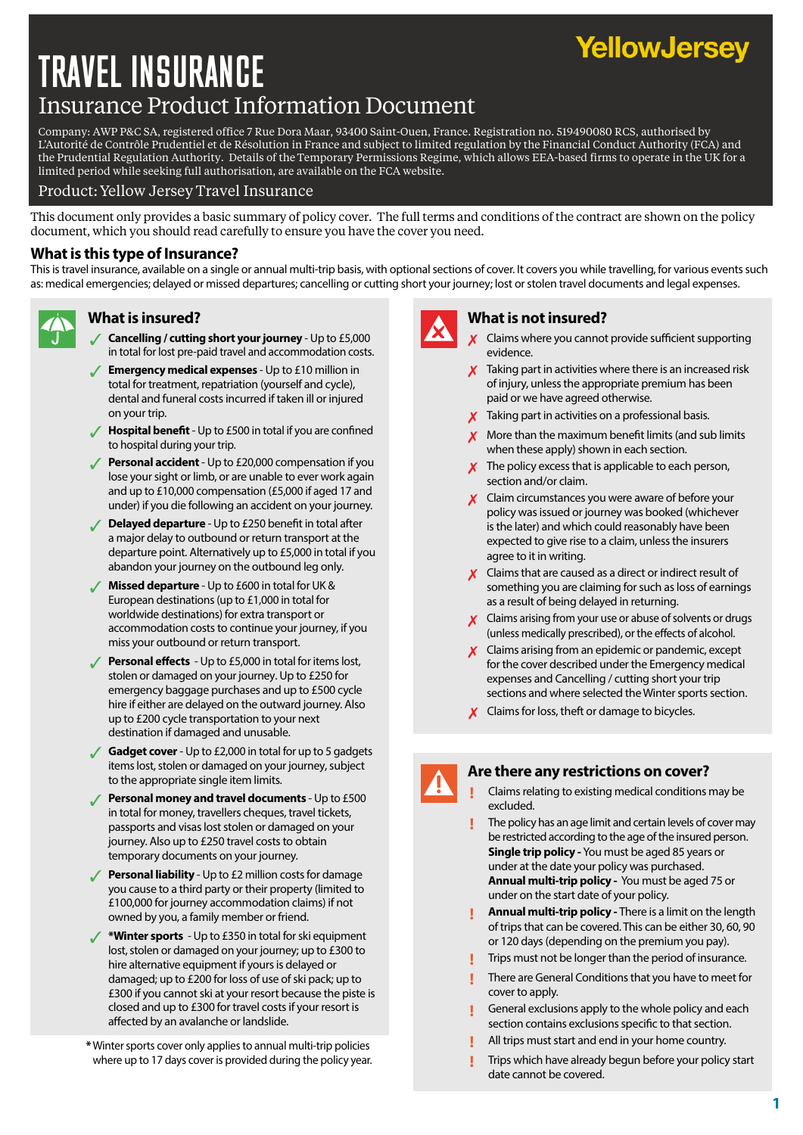# TRAVEL INSURANCE Insurance Product Information Document

Company: AWP P&C SA, registered office 7 Rue Dora Maar, 93400 Saint-Ouen, France. Registration no. 519490080 RCS, authorised by L'Autorité de Contrôle Prudentiel et de Résolution in France and subject to limited regulation by the Financial Conduct Authority (FCA) and the Prudential Regulation Authority. Details of the Temporary Permissions Regime, which allows EEA-based firms to operate in the UK for a limited period while seeking full authorisation, are available on the FCA website.

### Product: Yellow Jersey Travel Insurance

This document only provides a basic summary of policy cover. The full terms and conditions of the contract are shown on the policy document, which you should read carefully to ensure you have the cover you need.

# **What is this type of Insurance?**

This is travel insurance, available on a single or annual multi-trip basis, with optional sections of cover. It covers you while travelling, for various events such as: medical emergencies; delayed or missed departures; cancelling or cutting short your journey; lost or stolen travel documents and legal expenses.



- 3 **Cancelling / cutting short your journey** Up to £5,000 in total for lost pre-paid travel and accommodation costs.
- **Emergency medical expenses** Up to £10 million in total for treatment, repatriation (yourself and cycle), dental and funeral costs incurred if taken ill or injured on your trip.
- **/ Hospital benefit** Up to £500 in total if you are confined to hospital during your trip.
- **Personal accident** Up to £20,000 compensation if you lose your sight or limb, or are unable to ever work again and up to £10,000 compensation (£5,000 if aged 17 and under) if you die following an accident on your journey.
- **Delayed departure** Up to £250 benefit in total after a major delay to outbound or return transport at the departure point. Alternatively up to £5,000 in total if you abandon your journey on the outbound leg only.
- 3 **Missed departure** Up to £600 in total for UK & European destinations (up to £1,000 in total for worldwide destinations) for extra transport or accommodation costs to continue your journey, if you miss your outbound or return transport.
- **Personal effects** Up to £5,000 in total for items lost, stolen or damaged on your journey. Up to £250 for emergency baggage purchases and up to £500 cycle hire if either are delayed on the outward journey. Also up to £200 cycle transportation to your next destination if damaged and unusable.
- **Gadget cover** Up to £2,000 in total for up to 5 gadgets items lost, stolen or damaged on your journey, subject to the appropriate single item limits.
- **Personal money and travel documents Up to £500** in total for money, travellers cheques, travel tickets, passports and visas lost stolen or damaged on your journey. Also up to £250 travel costs to obtain temporary documents on your journey.
- **Personal liability** Up to £2 million costs for damage you cause to a third party or their property (limited to £100,000 for journey accommodation claims) if not owned by you, a family member or friend.
- 3 **\*Winter sports**  Up to £350 in total for ski equipment lost, stolen or damaged on your journey; up to £300 to hire alternative equipment if yours is delayed or damaged; up to £200 for loss of use of ski pack; up to £300 if you cannot ski at your resort because the piste is closed and up to £300 for travel costs if your resort is affected by an avalanche or landslide.
- **\***Winter sports cover only applies to annual multi-trip policies where up to 17 days cover is provided during the policy year.



# **What is insured? What is not insured?**

7 Claims where you cannot provide sufficient supporting evidence.

YellowJersey

- $\boldsymbol{X}$  Taking part in activities where there is an increased risk of injury, unless the appropriate premium has been paid or we have agreed otherwise.
- $\boldsymbol{X}$  Taking part in activities on a professional basis.
- More than the maximum benefit limits (and sub limits when these apply) shown in each section.
- The policy excess that is applicable to each person, section and/or claim.
- $\boldsymbol{X}$  Claim circumstances you were aware of before your policy was issued or journey was booked (whichever is the later) and which could reasonably have been expected to give rise to a claim, unless the insurers agree to it in writing.
- $\boldsymbol{\chi}$  Claims that are caused as a direct or indirect result of something you are claiming for such as loss of earnings as a result of being delayed in returning.
- Claims arising from your use or abuse of solvents or drugs (unless medically prescribed), or the effects of alcohol.
- $\boldsymbol{X}$  Claims arising from an epidemic or pandemic, except for the cover described under the Emergency medical expenses and Cancelling / cutting short your trip sections and where selected the Winter sports section.
- $\boldsymbol{X}$  Claims for loss, theft or damage to bicycles.

### **Are there any restrictions on cover?**

- **!** Claims relating to existing medical conditions may be excluded.
- **!** The policy has an age limit and certain levels of cover may be restricted according to the age of the insured person. **Single trip policy -** You must be aged 85 years or under at the date your policy was purchased. **Annual multi-trip policy -** You must be aged 75 or under on the start date of your policy.
- **! Annual multi-trip policy** There is a limit on the length of trips that can be covered. This can be either 30, 60, 90 or 120 days (depending on the premium you pay).
- **!** Trips must not be longer than the period of insurance.
- **!** There are General Conditions that you have to meet for cover to apply.
- **!** General exclusions apply to the whole policy and each section contains exclusions specific to that section.
- **!** All trips must start and end in your home country.
- **!** Trips which have already begun before your policy start date cannot be covered.